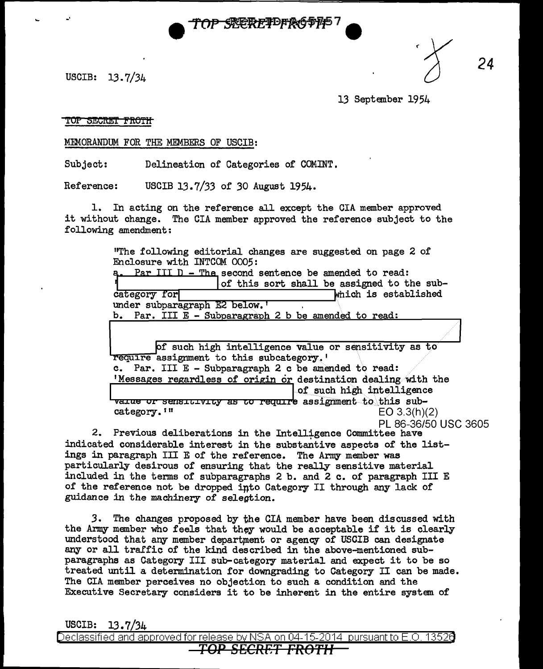

USCIB:  $13.7/34$ 

-·

13 September 1954

*24* 

## TOP SECRET FROTH

MEMORANDUM FOR THE MEMBERS OF USCIB:

Subject: Delineation of Categories of COMINT.

Reference: USCIB 13.7/33 of 30 August 1954.

1. In acting on the reference all except the CIA member approved it without change. The CIA member approved the reference subject to the following amendment;

> "The following editorial changes are suggested on page 2 of a. Par III D - The second sentence be amended to read: of this sort shall be assigned to the subcategory for **Which is established** under subparagraph E2 below. b. Par. III E - Subparagraph 2 b be amended to read: of such high intelligence value or sensitivity as to require assignment to this subcategory.' c. Par. III E - Subparagraph 2 c be amended to read: Messages regardless of origin or destination dealing with the line of such high intelligence

1 varue or sensitivity as to require assignment to this sub-<br>category.'" EO 3.3(h)(  $EO 3.3(h)(2)$ 

PL 86-36/50 USC 3605

2. Previous deliberations in the Intelligence Committee have indicated considerable interest in the substantive aspects of the listings in paragraph III E of the reference. The Army member was particularly desirous of ensuring that the really sensitive material included in the terms of subparagraphs 2 b. and 2 c. of paragraph III E of the reference not be dropped into Category II through any lack of guidance *in* the machinery of selegtion.

*3.* The changes proposed by the CIA member have been discussed with the Army member who feels that they would be acceptable if it is clearly understood that any member department or agency of USCIB can designate any or all traffic of the kind described in the above-mentioned subparagraphs as Category III sub-category material and expect it to be so treated until a determination for downgrading to Category II can be made. The CIA member perceives no objection to such a condition and the Executive Secretary considers it to be inherent in the entire system of

USCIB: 13.7/34

Declassified and approved for release by NSA on 04-15-2014 pursuantto E .0. 1352a

*TOP 8£CRF.T FROTH*